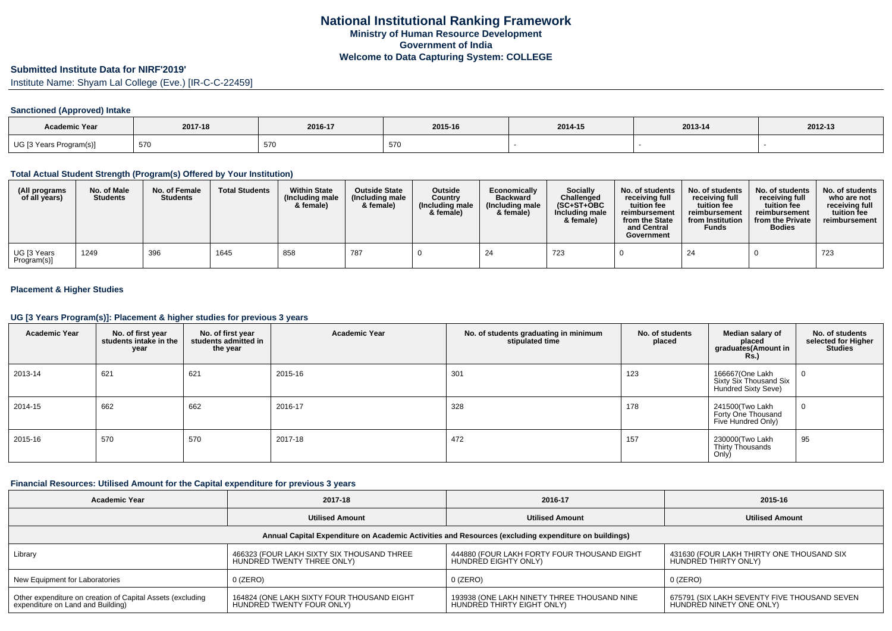### **Submitted Institute Data for NIRF'2019'**

Institute Name: Shyam Lal College (Eve.) [IR-C-C-22459]

## **Sanctioned (Approved) Intake**

| <b>Academic Year</b>    | 2017-18 | 2016-17 | 2015-16 | 2014-15 | 2013-14 | 2012-13 |
|-------------------------|---------|---------|---------|---------|---------|---------|
| UG [3 Years Program(s)] | 570     | 570     | 570     |         |         |         |

### **Total Actual Student Strength (Program(s) Offered by Your Institution)**

| (All programs<br>of all years) | No. of Male<br><b>Students</b> | No. of Female<br><b>Students</b> | <b>Total Students</b> | <b>Within State</b><br>(Including male<br>& female) | <b>Outside State</b><br>(Including male<br>& female) | <b>Outside</b><br>Country<br>(Including male<br>& female) | Economically<br><b>Backward</b><br>(Including male<br>& female) | Socially<br>Challenged<br>$(SC+ST+OBC)$<br>Including male<br>& female) | No. of students<br>receiving full<br>tuition fee<br>reimbursement<br>from the State<br>and Central<br>Government | No. of students<br>receiving full<br>tuition fee<br>reimbursement<br>from Institution<br><b>Funds</b> | No. of students<br>receiving full<br>tuition fee<br>reimbursement<br>from the Private<br><b>Bodies</b> | No. of students<br>who are not<br>receiving full<br>tuition fee<br>reimbursement |
|--------------------------------|--------------------------------|----------------------------------|-----------------------|-----------------------------------------------------|------------------------------------------------------|-----------------------------------------------------------|-----------------------------------------------------------------|------------------------------------------------------------------------|------------------------------------------------------------------------------------------------------------------|-------------------------------------------------------------------------------------------------------|--------------------------------------------------------------------------------------------------------|----------------------------------------------------------------------------------|
| UG [3 Years<br>Program(s)]     | 1249                           | 396                              | 1645                  | 858                                                 | 787                                                  |                                                           | 24                                                              | 723                                                                    |                                                                                                                  | 24                                                                                                    |                                                                                                        | 723                                                                              |

## **Placement & Higher Studies**

#### **UG [3 Years Program(s)]: Placement & higher studies for previous 3 years**

| <b>Academic Year</b> | No. of first year<br>students intake in the<br>year | No. of first year<br>students admitted in<br>the year | <b>Academic Year</b> | No. of students graduating in minimum<br>stipulated time | No. of students<br>placed | Median salary of<br>placed<br>graduates(Amount in<br><b>Rs.</b> ) | No. of students<br>selected for Higher<br><b>Studies</b> |
|----------------------|-----------------------------------------------------|-------------------------------------------------------|----------------------|----------------------------------------------------------|---------------------------|-------------------------------------------------------------------|----------------------------------------------------------|
| 2013-14              | 621                                                 | 621                                                   | 2015-16              | 301                                                      | 123                       | 166667(One Lakh<br>Sixty Six Thousand Six<br>Hundred Sixty Seve)  | U                                                        |
| 2014-15              | 662                                                 | 662                                                   | 2016-17              | 328                                                      | 178                       | 241500(Two Lakh<br>Forty One Thousand<br>Five Hundred Only)       | $\mathbf{0}$                                             |
| 2015-16              | 570                                                 | 570                                                   | 2017-18              | 472                                                      | 157                       | 230000(Two Lakh<br>Thirty Thousands<br>Only)                      | 95                                                       |

#### **Financial Resources: Utilised Amount for the Capital expenditure for previous 3 years**

| <b>Academic Year</b>                                                                                 | 2017-18                                                                  | 2016-17                                                                   | 2015-16                                                                  |  |  |  |  |  |  |  |  |
|------------------------------------------------------------------------------------------------------|--------------------------------------------------------------------------|---------------------------------------------------------------------------|--------------------------------------------------------------------------|--|--|--|--|--|--|--|--|
|                                                                                                      | <b>Utilised Amount</b>                                                   | <b>Utilised Amount</b>                                                    | <b>Utilised Amount</b>                                                   |  |  |  |  |  |  |  |  |
| Annual Capital Expenditure on Academic Activities and Resources (excluding expenditure on buildings) |                                                                          |                                                                           |                                                                          |  |  |  |  |  |  |  |  |
| Library                                                                                              | 466323 (FOUR LAKH SIXTY SIX THOUSAND THREE<br>HUNDRED TWENTY THREE ONLY) | 444880 (FOUR LAKH FORTY FOUR THOUSAND EIGHT<br>HUNDRED EIGHTY ONLY)       | 431630 (FOUR LAKH THIRTY ONE THOUSAND SIX<br>HUNDRED THIRTY ONLY)        |  |  |  |  |  |  |  |  |
| New Equipment for Laboratories                                                                       | $0$ (ZERO)                                                               | $0$ (ZERO)                                                                | $0$ (ZERO)                                                               |  |  |  |  |  |  |  |  |
| Other expenditure on creation of Capital Assets (excluding<br>expenditure on Land and Building)      | 164824 (ONE LAKH SIXTY FOUR THOUSAND EIGHT<br>HUNDRED TWENTY FOUR ONLY)  | 193938 (ONE LAKH NINETY THREE THOUSAND NINE<br>HUNDRED THIRTY EIGHT ONLY) | 675791 (SIX LAKH SEVENTY FIVE THOUSAND SEVEN<br>HUNDRED NINETY ONE ONLY) |  |  |  |  |  |  |  |  |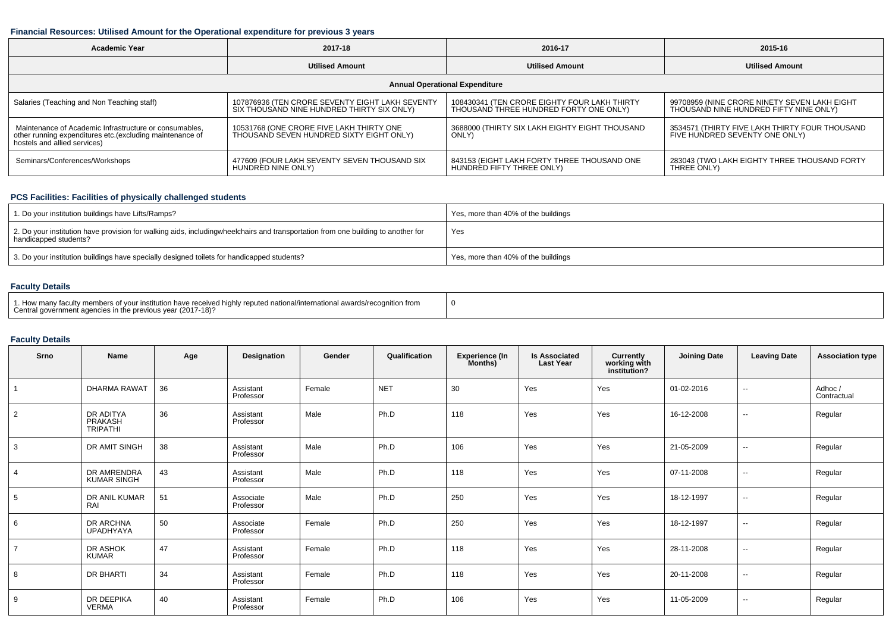## **Financial Resources: Utilised Amount for the Operational expenditure for previous 3 years**

| Academic Year                                                                                                                                      | 2017-18                                                                                       | 2016-17                                                                                | 2015-16                                                                                |  |  |  |  |  |  |  |  |
|----------------------------------------------------------------------------------------------------------------------------------------------------|-----------------------------------------------------------------------------------------------|----------------------------------------------------------------------------------------|----------------------------------------------------------------------------------------|--|--|--|--|--|--|--|--|
|                                                                                                                                                    | <b>Utilised Amount</b>                                                                        | <b>Utilised Amount</b>                                                                 | <b>Utilised Amount</b>                                                                 |  |  |  |  |  |  |  |  |
| <b>Annual Operational Expenditure</b>                                                                                                              |                                                                                               |                                                                                        |                                                                                        |  |  |  |  |  |  |  |  |
| Salaries (Teaching and Non Teaching staff)                                                                                                         | 107876936 (TEN CRORE SEVENTY EIGHT LAKH SEVENTY<br>SIX THOUSAND NINE HUNDRED THIRTY SIX ONLY) | 108430341 (TEN CRORE EIGHTY FOUR LAKH THIRTY<br>THOUSAND THREE HUNDRED FORTY ONE ONLY) | 99708959 (NINE CRORE NINETY SEVEN LAKH EIGHT<br>THOUSAND NINE HUNDRED FIFTY NINE ONLY) |  |  |  |  |  |  |  |  |
| Maintenance of Academic Infrastructure or consumables.<br>other running expenditures etc.(excluding maintenance of<br>hostels and allied services) | 10531768 (ONE CRORE FIVE LAKH THIRTY ONE<br>THOUSAND SEVEN HUNDRED SIXTY EIGHT ONLY)          | 3688000 (THIRTY SIX LAKH EIGHTY EIGHT THOUSAND<br>ONLY)                                | 3534571 (THIRTY FIVE LAKH THIRTY FOUR THOUSAND<br>FIVE HUNDRED SEVENTY ONE ONLY)       |  |  |  |  |  |  |  |  |
| Seminars/Conferences/Workshops                                                                                                                     | 477609 (FOUR LAKH SEVENTY SEVEN THOUSAND SIX<br>HUNDRED NINE ONLY)                            | 843153 (EIGHT LAKH FORTY THREE THOUSAND ONE<br>HUNDRED FIFTY THREE ONLY)               | 283043 (TWO LAKH EIGHTY THREE THOUSAND FORTY<br>THREE ONLY)                            |  |  |  |  |  |  |  |  |

# **PCS Facilities: Facilities of physically challenged students**

| 1. Do your institution buildings have Lifts/Ramps?                                                                                                        | Yes, more than 40% of the buildings |
|-----------------------------------------------------------------------------------------------------------------------------------------------------------|-------------------------------------|
| 2. Do your institution have provision for walking aids, includingwheelchairs and transportation from one building to another for<br>handicapped students? | Yes                                 |
| 3. Do your institution buildings have specially designed toilets for handicapped students?                                                                | Yes, more than 40% of the buildings |

## **Faculty Details**

| 1. How many faculty members of your institution have received highly reputed national/international awards/recognition from<br>Central government agencies in the previous year (2017-18)? |  |
|--------------------------------------------------------------------------------------------------------------------------------------------------------------------------------------------|--|
|--------------------------------------------------------------------------------------------------------------------------------------------------------------------------------------------|--|

## **Faculty Details**

| Srno           | Name                                    | Age | Designation            | Gender | Qualification | <b>Experience (In</b><br>Months) | <b>Is Associated</b><br><b>Last Year</b> | Currently<br>working with<br>institution? | <b>Joining Date</b> | <b>Leaving Date</b>      | <b>Association type</b> |
|----------------|-----------------------------------------|-----|------------------------|--------|---------------|----------------------------------|------------------------------------------|-------------------------------------------|---------------------|--------------------------|-------------------------|
|                | <b>DHARMA RAWAT</b>                     | 36  | Assistant<br>Professor | Female | <b>NET</b>    | 30                               | Yes                                      | Yes                                       | 01-02-2016          | $\overline{\phantom{a}}$ | Adhoc /<br>Contractual  |
| $\overline{2}$ | DR ADITYA<br>PRAKASH<br><b>TRIPATHI</b> | 36  | Assistant<br>Professor | Male   | Ph.D          | 118                              | Yes                                      | Yes                                       | 16-12-2008          | $\overline{\phantom{a}}$ | Regular                 |
| 3              | DR AMIT SINGH                           | 38  | Assistant<br>Professor | Male   | Ph.D          | 106                              | Yes                                      | Yes                                       | 21-05-2009          | $\sim$                   | Regular                 |
| $\overline{4}$ | DR AMRENDRA<br><b>KUMAR SINGH</b>       | 43  | Assistant<br>Professor | Male   | Ph.D          | 118                              | Yes                                      | Yes                                       | 07-11-2008          | $\overline{\phantom{a}}$ | Regular                 |
| 5              | DR ANIL KUMAR<br>RAI                    | 51  | Associate<br>Professor | Male   | Ph.D          | 250                              | Yes                                      | Yes                                       | 18-12-1997          | $\overline{\phantom{a}}$ | Regular                 |
| 6              | DR ARCHNA<br>UPADHYAYA                  | 50  | Associate<br>Professor | Female | Ph.D          | 250                              | Yes                                      | Yes                                       | 18-12-1997          | $\sim$                   | Regular                 |
| $\overline{7}$ | DR ASHOK<br><b>KUMAR</b>                | 47  | Assistant<br>Professor | Female | Ph.D          | 118                              | Yes                                      | Yes                                       | 28-11-2008          | $\sim$                   | Regular                 |
| 8              | DR BHARTI                               | 34  | Assistant<br>Professor | Female | Ph.D          | 118                              | Yes                                      | Yes                                       | 20-11-2008          | $\overline{\phantom{a}}$ | Regular                 |
| 9              | DR DEEPIKA<br>VERMA                     | 40  | Assistant<br>Professor | Female | Ph.D          | 106                              | Yes                                      | Yes                                       | 11-05-2009          | $\overline{\phantom{m}}$ | Regular                 |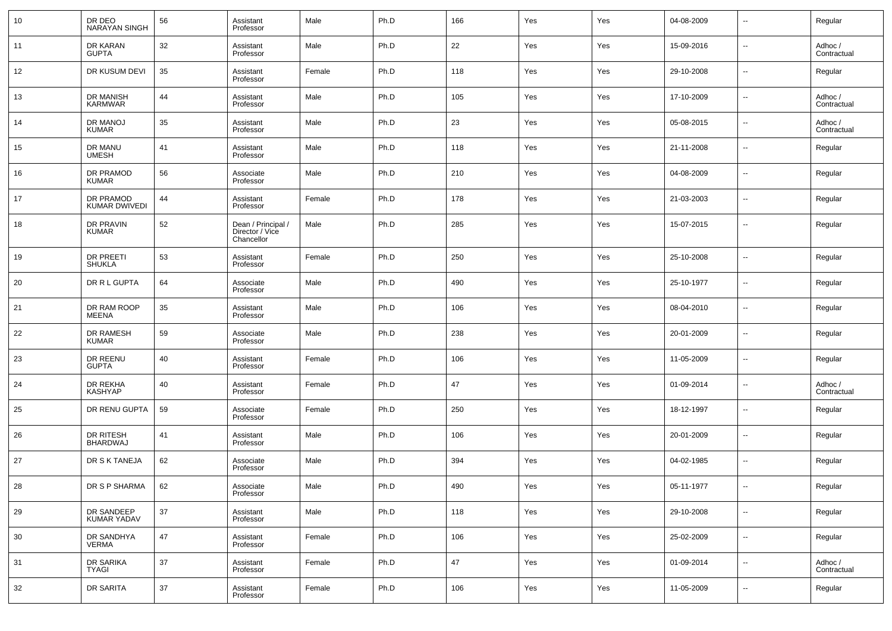| 10 | DR DEO<br><b>NARAYAN SINGH</b>    | 56 | Assistant<br>Professor                              | Male   | Ph.D | 166 | Yes | Yes | 04-08-2009 | $\sim$                   | Regular                |
|----|-----------------------------------|----|-----------------------------------------------------|--------|------|-----|-----|-----|------------|--------------------------|------------------------|
| 11 | DR KARAN<br><b>GUPTA</b>          | 32 | Assistant<br>Professor                              | Male   | Ph.D | 22  | Yes | Yes | 15-09-2016 | $\overline{\phantom{a}}$ | Adhoc /<br>Contractual |
| 12 | DR KUSUM DEVI                     | 35 | Assistant<br>Professor                              | Female | Ph.D | 118 | Yes | Yes | 29-10-2008 | $\overline{\phantom{a}}$ | Regular                |
| 13 | DR MANISH<br><b>KARMWAR</b>       | 44 | Assistant<br>Professor                              | Male   | Ph.D | 105 | Yes | Yes | 17-10-2009 | $\overline{\phantom{a}}$ | Adhoc /<br>Contractual |
| 14 | DR MANOJ<br><b>KUMAR</b>          | 35 | Assistant<br>Professor                              | Male   | Ph.D | 23  | Yes | Yes | 05-08-2015 | $\overline{\phantom{a}}$ | Adhoc /<br>Contractual |
| 15 | DR MANU<br><b>UMESH</b>           | 41 | Assistant<br>Professor                              | Male   | Ph.D | 118 | Yes | Yes | 21-11-2008 | н.                       | Regular                |
| 16 | DR PRAMOD<br><b>KUMAR</b>         | 56 | Associate<br>Professor                              | Male   | Ph.D | 210 | Yes | Yes | 04-08-2009 | $\overline{\phantom{a}}$ | Regular                |
| 17 | DR PRAMOD<br>KUMAR DWIVEDI        | 44 | Assistant<br>Professor                              | Female | Ph.D | 178 | Yes | Yes | 21-03-2003 | н.                       | Regular                |
| 18 | DR PRAVIN<br><b>KUMAR</b>         | 52 | Dean / Principal /<br>Director / Vice<br>Chancellor | Male   | Ph.D | 285 | Yes | Yes | 15-07-2015 | --                       | Regular                |
| 19 | <b>DR PREETI</b><br><b>SHUKLA</b> | 53 | Assistant<br>Professor                              | Female | Ph.D | 250 | Yes | Yes | 25-10-2008 | --                       | Regular                |
| 20 | DR R L GUPTA                      | 64 | Associate<br>Professor                              | Male   | Ph.D | 490 | Yes | Yes | 25-10-1977 | --                       | Regular                |
| 21 | DR RAM ROOP<br><b>MEENA</b>       | 35 | Assistant<br>Professor                              | Male   | Ph.D | 106 | Yes | Yes | 08-04-2010 | ш.                       | Regular                |
| 22 | DR RAMESH<br><b>KUMAR</b>         | 59 | Associate<br>Professor                              | Male   | Ph.D | 238 | Yes | Yes | 20-01-2009 | $\overline{\phantom{a}}$ | Regular                |
| 23 | DR REENU<br><b>GUPTA</b>          | 40 | Assistant<br>Professor                              | Female | Ph.D | 106 | Yes | Yes | 11-05-2009 | $\overline{a}$           | Regular                |
| 24 | DR REKHA<br><b>KASHYAP</b>        | 40 | Assistant<br>Professor                              | Female | Ph.D | 47  | Yes | Yes | 01-09-2014 | $\overline{\phantom{a}}$ | Adhoc /<br>Contractual |
| 25 | DR RENU GUPTA                     | 59 | Associate<br>Professor                              | Female | Ph.D | 250 | Yes | Yes | 18-12-1997 | $\overline{a}$           | Regular                |
| 26 | DR RITESH<br><b>BHARDWAJ</b>      | 41 | Assistant<br>Professor                              | Male   | Ph.D | 106 | Yes | Yes | 20-01-2009 | $\overline{\phantom{a}}$ | Regular                |
| 27 | DR S K TANEJA                     | 62 | Associate<br>Professor                              | Male   | Ph.D | 394 | Yes | Yes | 04-02-1985 | $\overline{\phantom{a}}$ | Regular                |
| 28 | DR S P SHARMA                     | 62 | Associate<br>Professor                              | Male   | Ph.D | 490 | Yes | Yes | 05-11-1977 |                          | Regular                |
| 29 | DR SANDEEP<br>KUMAR YADAV         | 37 | Assistant<br>Professor                              | Male   | Ph.D | 118 | Yes | Yes | 29-10-2008 | u,                       | Regular                |
| 30 | DR SANDHYA<br>VERMA               | 47 | Assistant<br>Professor                              | Female | Ph.D | 106 | Yes | Yes | 25-02-2009 | u,                       | Regular                |
| 31 | DR SARIKA<br><b>TYAGI</b>         | 37 | Assistant<br>Professor                              | Female | Ph.D | 47  | Yes | Yes | 01-09-2014 | $\overline{\phantom{a}}$ | Adhoc /<br>Contractual |
| 32 | DR SARITA                         | 37 | Assistant<br>Professor                              | Female | Ph.D | 106 | Yes | Yes | 11-05-2009 | $\overline{\phantom{a}}$ | Regular                |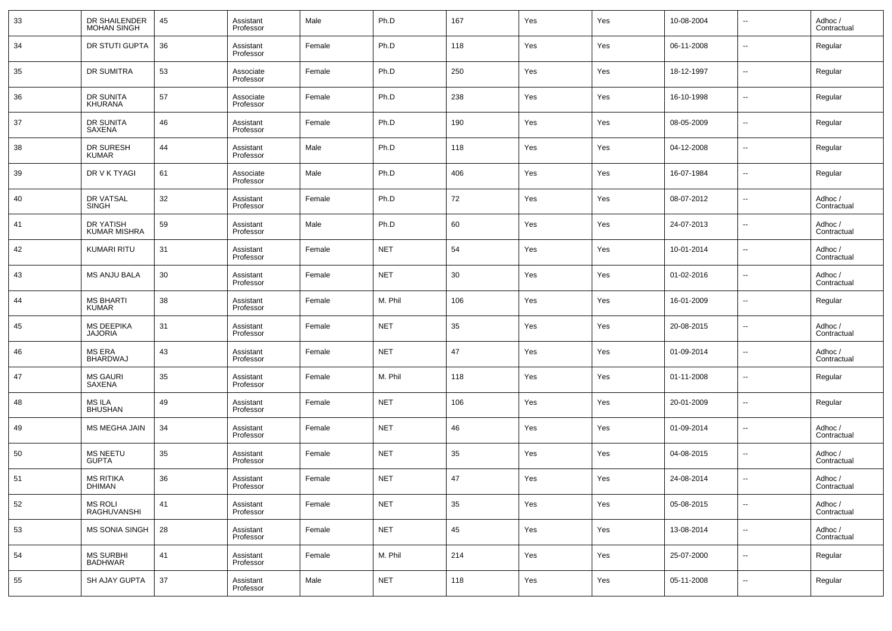| 33 | DR SHAILENDER<br><b>MOHAN SINGH</b> | 45 | Assistant<br>Professor | Male   | Ph.D       | 167 | Yes | Yes | 10-08-2004 | $\overline{\phantom{a}}$ | Adhoc /<br>Contractual |
|----|-------------------------------------|----|------------------------|--------|------------|-----|-----|-----|------------|--------------------------|------------------------|
| 34 | DR STUTI GUPTA                      | 36 | Assistant<br>Professor | Female | Ph.D       | 118 | Yes | Yes | 06-11-2008 | $\overline{\phantom{a}}$ | Regular                |
| 35 | DR SUMITRA                          | 53 | Associate<br>Professor | Female | Ph.D       | 250 | Yes | Yes | 18-12-1997 | $\overline{\phantom{a}}$ | Regular                |
| 36 | DR SUNITA<br><b>KHURANA</b>         | 57 | Associate<br>Professor | Female | Ph.D       | 238 | Yes | Yes | 16-10-1998 | $\overline{\phantom{a}}$ | Regular                |
| 37 | DR SUNITA<br>SAXENA                 | 46 | Assistant<br>Professor | Female | Ph.D       | 190 | Yes | Yes | 08-05-2009 | $\overline{\phantom{a}}$ | Regular                |
| 38 | DR SURESH<br><b>KUMAR</b>           | 44 | Assistant<br>Professor | Male   | Ph.D       | 118 | Yes | Yes | 04-12-2008 | $\overline{\phantom{a}}$ | Regular                |
| 39 | DR V K TYAGI                        | 61 | Associate<br>Professor | Male   | Ph.D       | 406 | Yes | Yes | 16-07-1984 | $\overline{\phantom{a}}$ | Regular                |
| 40 | DR VATSAL<br><b>SINGH</b>           | 32 | Assistant<br>Professor | Female | Ph.D       | 72  | Yes | Yes | 08-07-2012 | $\overline{\phantom{a}}$ | Adhoc /<br>Contractual |
| 41 | DR YATISH<br><b>KUMAR MISHRA</b>    | 59 | Assistant<br>Professor | Male   | Ph.D       | 60  | Yes | Yes | 24-07-2013 | $\overline{\phantom{a}}$ | Adhoc /<br>Contractual |
| 42 | <b>KUMARI RITU</b>                  | 31 | Assistant<br>Professor | Female | <b>NET</b> | 54  | Yes | Yes | 10-01-2014 | $\overline{\phantom{a}}$ | Adhoc /<br>Contractual |
| 43 | MS ANJU BALA                        | 30 | Assistant<br>Professor | Female | <b>NET</b> | 30  | Yes | Yes | 01-02-2016 | $\overline{\phantom{a}}$ | Adhoc /<br>Contractual |
| 44 | <b>MS BHARTI</b><br><b>KUMAR</b>    | 38 | Assistant<br>Professor | Female | M. Phil    | 106 | Yes | Yes | 16-01-2009 | $\overline{\phantom{a}}$ | Regular                |
| 45 | <b>MS DEEPIKA</b><br><b>JAJORIA</b> | 31 | Assistant<br>Professor | Female | <b>NET</b> | 35  | Yes | Yes | 20-08-2015 | $\overline{\phantom{a}}$ | Adhoc /<br>Contractual |
| 46 | MS ERA<br><b>BHARDWAJ</b>           | 43 | Assistant<br>Professor | Female | <b>NET</b> | 47  | Yes | Yes | 01-09-2014 | $\overline{\phantom{a}}$ | Adhoc /<br>Contractual |
| 47 | <b>MS GAURI</b><br>SAXENA           | 35 | Assistant<br>Professor | Female | M. Phil    | 118 | Yes | Yes | 01-11-2008 | $\overline{\phantom{a}}$ | Regular                |
| 48 | MS ILA<br><b>BHUSHAN</b>            | 49 | Assistant<br>Professor | Female | <b>NET</b> | 106 | Yes | Yes | 20-01-2009 | $\overline{\phantom{a}}$ | Regular                |
| 49 | <b>MS MEGHA JAIN</b>                | 34 | Assistant<br>Professor | Female | <b>NET</b> | 46  | Yes | Yes | 01-09-2014 | $\overline{\phantom{a}}$ | Adhoc /<br>Contractual |
| 50 | <b>MS NEETU</b><br><b>GUPTA</b>     | 35 | Assistant<br>Professor | Female | <b>NET</b> | 35  | Yes | Yes | 04-08-2015 | $\overline{\phantom{a}}$ | Adhoc /<br>Contractual |
| 51 | <b>MS RITIKA</b><br>DHIMAN          | 36 | Assistant<br>Professor | Female | <b>NET</b> | 47  | Yes | Yes | 24-08-2014 | $\overline{\phantom{a}}$ | Adhoc /<br>Contractual |
| 52 | <b>MS ROLI</b><br>RAGHUVANSHI       | 41 | Assistant<br>Professor | Female | <b>NET</b> | 35  | Yes | Yes | 05-08-2015 | ۰.                       | Adhoc /<br>Contractual |
| 53 | <b>MS SONIA SINGH</b>               | 28 | Assistant<br>Professor | Female | <b>NET</b> | 45  | Yes | Yes | 13-08-2014 | $\overline{\phantom{a}}$ | Adhoc /<br>Contractual |
| 54 | <b>MS SURBHI</b><br><b>BADHWAR</b>  | 41 | Assistant<br>Professor | Female | M. Phil    | 214 | Yes | Yes | 25-07-2000 | $\overline{\phantom{a}}$ | Regular                |
| 55 | SH AJAY GUPTA                       | 37 | Assistant<br>Professor | Male   | <b>NET</b> | 118 | Yes | Yes | 05-11-2008 | ۰.                       | Regular                |